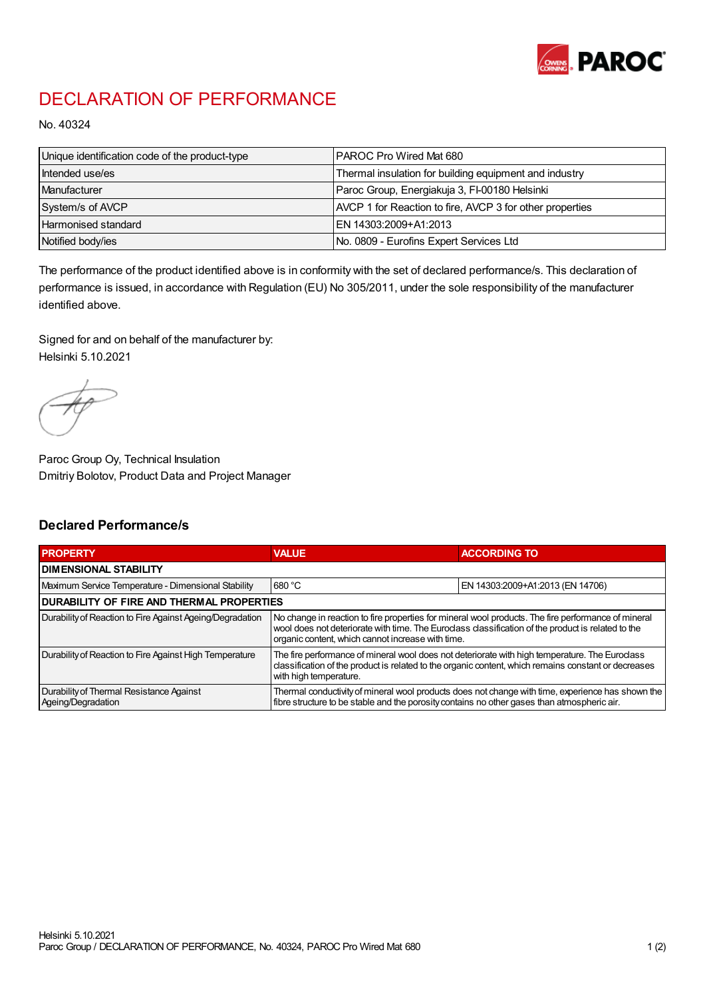

## DECLARATION OF PERFORMANCE

No. 40324

| Unique identification code of the product-type | IPAROC Pro Wired Mat 680                                 |
|------------------------------------------------|----------------------------------------------------------|
| Intended use/es                                | Thermal insulation for building equipment and industry   |
| Manufacturer                                   | Paroc Group, Energiakuja 3, FI-00180 Helsinki            |
| System/s of AVCP                               | AVCP 1 for Reaction to fire, AVCP 3 for other properties |
| Harmonised standard                            | IEN 14303:2009+A1:2013                                   |
| Notified body/ies                              | No. 0809 - Eurofins Expert Services Ltd                  |

The performance of the product identified above is in conformity with the set of declared performance/s. This declaration of performance is issued, in accordance with Regulation (EU) No 305/2011, under the sole responsibility of the manufacturer identified above.

Signed for and on behalf of the manufacturer by: Helsinki 5.10.2021

Paroc Group Oy, Technical Insulation Dmitriy Bolotov, Product Data and Project Manager

## Declared Performance/s

| <b>PROPERTY</b>                                                | <b>VALUE</b>                                                                                                                                                                                                                                                   | <b>ACCORDING TO</b>              |  |
|----------------------------------------------------------------|----------------------------------------------------------------------------------------------------------------------------------------------------------------------------------------------------------------------------------------------------------------|----------------------------------|--|
| <b>DIMENSIONAL STABILITY</b>                                   |                                                                                                                                                                                                                                                                |                                  |  |
| Maximum Service Temperature - Dimensional Stability            | 680 °C                                                                                                                                                                                                                                                         | EN 14303:2009+A1:2013 (EN 14706) |  |
| <b>DURABILITY OF FIRE AND THERMAL PROPERTIES</b>               |                                                                                                                                                                                                                                                                |                                  |  |
| Durability of Reaction to Fire Against Ageing/Degradation      | No change in reaction to fire properties for mineral wool products. The fire performance of mineral<br>wool does not deteriorate with time. The Euroclass classification of the product is related to the<br>organic content, which cannot increase with time. |                                  |  |
| Durability of Reaction to Fire Against High Temperature        | The fire performance of mineral wool does not deteriorate with high temperature. The Euroclass<br>classification of the product is related to the organic content, which remains constant or decreases<br>with high temperature.                               |                                  |  |
| Durability of Thermal Resistance Against<br>Ageing/Degradation | Thermal conductivity of mineral wool products does not change with time, experience has shown the<br>fibre structure to be stable and the porosity contains no other gases than atmospheric air.                                                               |                                  |  |